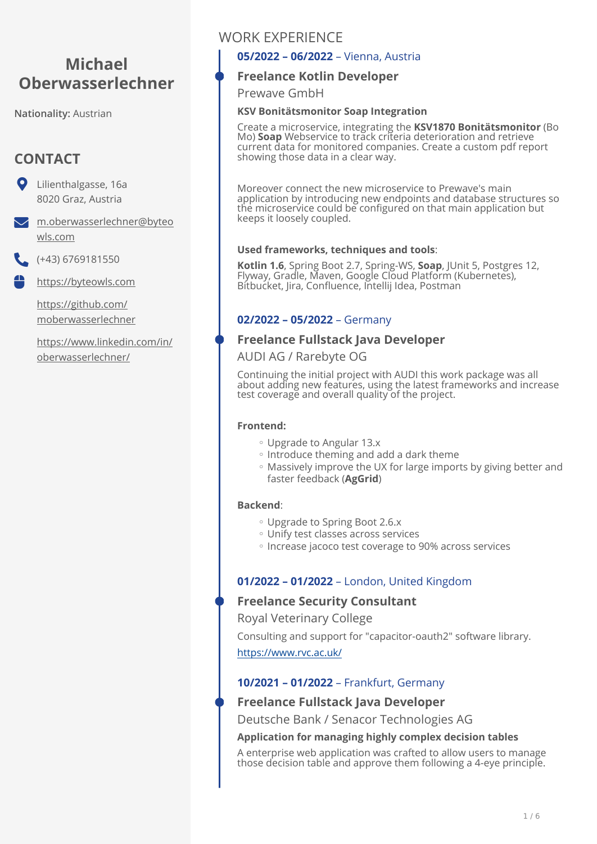# **Michael Oberwasserlechner**

**Nationality:** Austrian

# **CONTACT**

Lilienthalgasse, 16a 8020 Graz, Austria

[m.oberwasserlechner@byteo](mailto:m.oberwasserlechner@byteowls.com) [wls.com](mailto:m.oberwasserlechner@byteowls.com)

(+43) 6769181550

<https://byteowls.com> ₩

> [https://github.com/](https://github.com/moberwasserlechner) [moberwasserlechner](https://github.com/moberwasserlechner)

[https://www.linkedin.com/in/](https://www.linkedin.com/in/oberwasserlechner/) [oberwasserlechner/](https://www.linkedin.com/in/oberwasserlechner/)

# WORK EXPERIENCE

# **05/2022 – 06/2022** – Vienna, Austria

# **Freelance Kotlin Developer**

Prewave GmbH

# **KSV Bonitätsmonitor Soap Integration**

Create a microservice, integrating the **KSV1870 Bonitätsmonitor** (Bo Mo) **Soap** Webservice to track criteria deterioration and retrieve current data for monitored companies. Create a custom pdf report showing those data in a clear way.

Moreover connect the new microservice to Prewave's main application by introducing new endpoints and database structures so the microservice could be configured on that main application but keeps it loosely coupled.

# **Used frameworks, techniques and tools**:

**Kotlin 1.6**, Spring Boot 2.7, Spring-WS, **Soap**, JUnit 5, Postgres 12,<br>Flyway, Gradle, Maven, Google Cloud Platform (Kubernetes), Bitbucket, Jira, Confluence, Intellij Idea, Postman

# **02/2022 – 05/2022** – Germany

# **Freelance Fullstack Java Developer**

# AUDI AG / Rarebyte OG

Continuing the initial project with AUDI this work package was all about adding new features, using the latest frameworks and increase test coverage and overall quality of the project.

#### **Frontend:**

- Upgrade to Angular 13.x ◦
- Introduce theming and add a dark theme
- Massively improve the UX for large imports by giving better and faster feedback (**AgGrid**)

# **Backend**:

- Upgrade to Spring Boot 2.6.x ◦
- Unify test classes across services ◦
- Increase jacoco test coverage to 90% across services

# **01/2022 – 01/2022** – London, United Kingdom

# **Freelance Security Consultant**

Royal Veterinary College

Consulting and support for "capacitor-oauth2" software library. <https://www.rvc.ac.uk/>

# **10/2021 – 01/2022** – Frankfurt, Germany

# **Freelance Fullstack Java Developer**

Deutsche Bank / Senacor Technologies AG

#### **Application for managing highly complex decision tables**

A enterprise web application was crafted to allow users to manage those decision table and approve them following a 4-eye principle.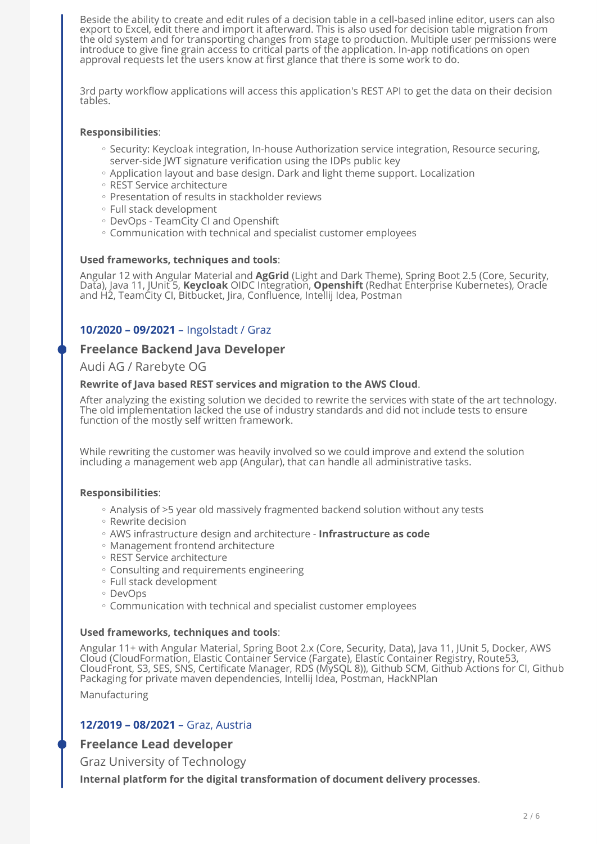Beside the ability to create and edit rules of a decision table in a cell-based inline editor, users can also export to Excel, edit there and import it afterward. This is also used for decision table migration from the old system and for transporting changes from stage to production. Multiple user permissions were introduce to give fine grain access to critical parts of the application. In-app notifications on open approval requests let the users know at first glance that there is some work to do.

3rd party workflow applications will access this application's REST API to get the data on their decision tables.

#### **Responsibilities**:

- Security: Keycloak integration, In-house Authorization service integration, Resource securing, server-side JWT signature verification using the IDPs public key
- Application layout and base design. Dark and light theme support. Localization
- REST Service architecture ◦
- Presentation of results in stackholder reviews
- Full stack development ◦
- DevOps TeamCity CI and Openshift ◦
- Communication with technical and specialist customer employees ◦

#### **Used frameworks, techniques and tools**:

Angular 12 with Angular Material and **AgGrid** (Light and Dark Theme), Spring Boot 2.5 (Core, Security, Data), Java 11, JUnit 5, **Keycloak** OIDC Integration, **Openshift** (Redhat Enterprise Kubernetes), Oracle and H2, TeamCity CI, Bitbucket, Jira, Confluence, Intellij Idea, Postman

# **10/2020 – 09/2021** – Ingolstadt / Graz

### **Freelance Backend Java Developer**

#### Audi AG / Rarebyte OG

#### **Rewrite of Java based REST services and migration to the AWS Cloud**.

After analyzing the existing solution we decided to rewrite the services with state of the art technology. The old implementation lacked the use of industry standards and did not include tests to ensure function of the mostly self written framework.

While rewriting the customer was heavily involved so we could improve and extend the solution including a management web app (Angular), that can handle all administrative tasks.

#### **Responsibilities**:

- Analysis of >5 year old massively fragmented backend solution without any tests ◦
- Rewrite decision ◦
- AWS infrastructure design and architecture - **Infrastructure as code** ◦
- Management frontend architecture ◦
- REST Service architecture ◦
- Consulting and requirements engineering ◦
- Full stack development ◦
- DevOps ◦
- Communication with technical and specialist customer employees ◦

#### **Used frameworks, techniques and tools**:

Angular 11+ with Angular Material, Spring Boot 2.x (Core, Security, Data), Java 11, JUnit 5, Docker, AWS Cloud (CloudFormation, Elastic Container Service (Fargate), Elastic Container Registry, Route53, CloudFront, S3, SES, SNS, Certificate Manager, RDS (MySQL 8)), Github SCM, Github Actions for CI, Github Packaging for private maven dependencies, Intellij Idea, Postman, HackNPlan

Manufacturing

#### **12/2019 – 08/2021** – Graz, Austria

# **Freelance Lead developer**

Graz University of Technology

**Internal platform for the digital transformation of document delivery processes**.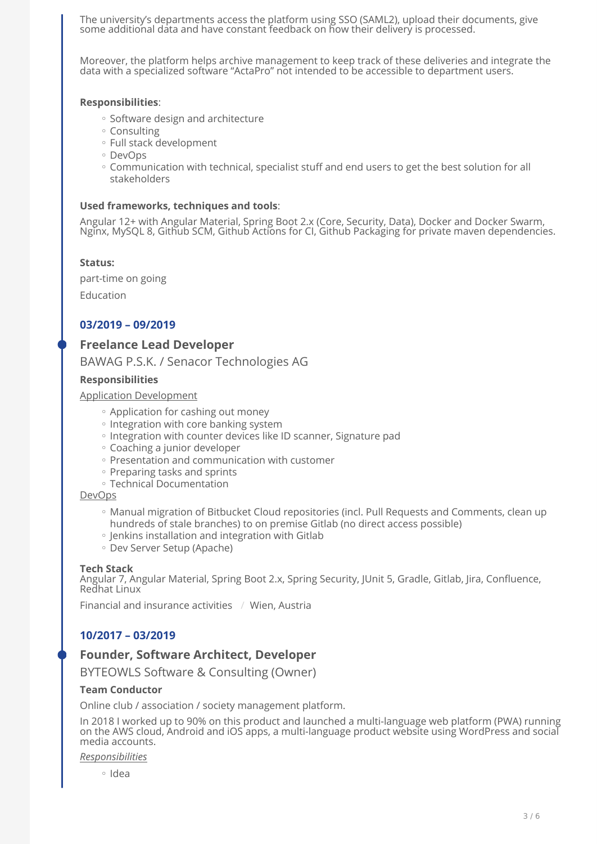The university's departments access the platform using SSO (SAML2), upload their documents, give some additional data and have constant feedback on how their delivery is processed.

Moreover, the platform helps archive management to keep track of these deliveries and integrate the data with a specialized software "ActaPro" not intended to be accessible to department users.

#### **Responsibilities**:

- Software design and architecture
- Consulting ◦
- Full stack development ◦
- DevOps ◦
- Communication with technical, specialist stuff and end users to get the best solution for all stakeholders

#### **Used frameworks, techniques and tools**:

Angular 12+ with Angular Material, Spring Boot 2.x (Core, Security, Data), Docker and Docker Swarm, Nginx, MySQL 8, Github SCM, Github Actions for CI, Github Packaging for private maven dependencies.

#### **Status:**

part-time on going Education

# **03/2019 – 09/2019**

# **Freelance Lead Developer**

BAWAG P.S.K. / Senacor Technologies AG

#### **Responsibilities**

#### Application Development

- Application for cashing out money
- Integration with core banking system
- Integration with counter devices like ID scanner, Signature pad ◦
- Coaching a junior developer ◦
- Presentation and communication with customer
- Preparing tasks and sprints
- Technical Documentation ◦

#### DevOps

- Manual migration of Bitbucket Cloud repositories (incl. Pull Requests and Comments, clean up hundreds of stale branches) to on premise Gitlab (no direct access possible)
- Jenkins installation and integration with Gitlab ◦
- Dev Server Setup (Apache) ◦

#### **Tech Stack**

Angular 7, Angular Material, Spring Boot 2.x, Spring Security, JUnit 5, Gradle, Gitlab, Jira, Confluence, Redhat Linux

Financial and insurance activities / Wien, Austria

# **10/2017 – 03/2019**

# **Founder, Software Architect, Developer**

BYTEOWLS Software & Consulting (Owner)

#### **Team Conductor**

Online club / association / society management platform.

In 2018 I worked up to 90% on this product and launched a multi-language web platform (PWA) running on the AWS cloud, Android and iOS apps, a multi-language product website using WordPress and social media accounts.

*Responsibilities*

∘ Idea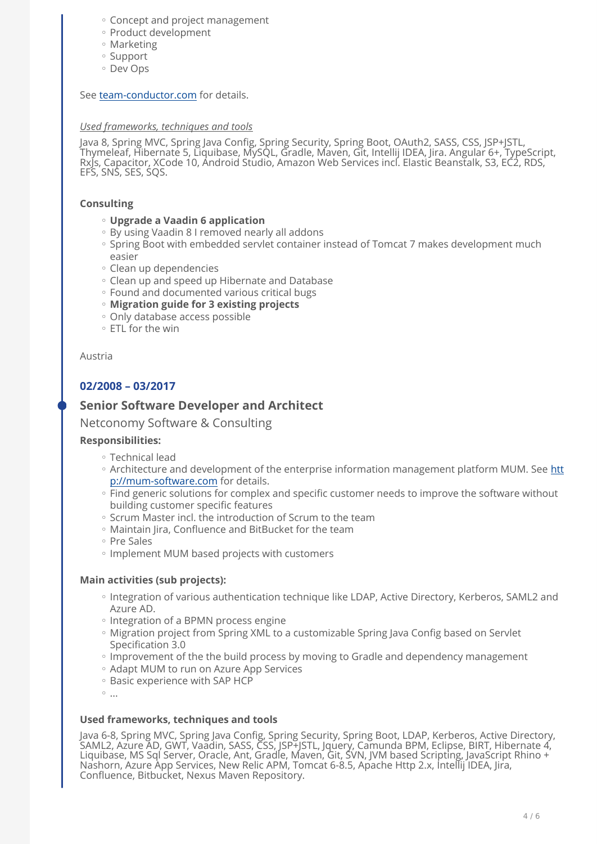- Concept and project management ◦
- Product development
- Marketing ◦
- Support
- Dev Ops ◦

#### See [team-conductor.com](https://team-conductor.com) for details.

#### *Used frameworks, techniques and tools*

Java 8, Spring MVC, Spring Java Config, Spring Security, Spring Boot, OAuth2, SASS, CSS, JSP+JSTL, Thymeleaf, Hibernate 5, Liquibase, MySQL, Gradle, Maven, Git, Intellij IDEA, Jira. Angular 6+, TypeScript, RxJs, Capacitor, XCode 10, Android Studio, Amazon Web Services incl. Elastic Beanstalk, S3, EC2, RDS, EFS, SNS, SES, SQS.

### **Consulting**

- **Upgrade a Vaadin 6 application** ◦
- By using Vaadin 8 I removed nearly all addons
- Spring Boot with embedded servlet container instead of Tomcat 7 makes development much easier
- Clean up dependencies ◦
- Clean up and speed up Hibernate and Database ◦
- Found and documented various critical bugs ◦
- **Migration guide for 3 existing projects** ◦
- Only database access possible ◦
- ETL for the win ◦

#### Austria

# **02/2008 – 03/2017**

# **Senior Software Developer and Architect**

Netconomy Software & Consulting

#### **Responsibilities:**

- Technical lead ◦
- Architecture and development of the enterprise information management platform MUM. See [htt](http://mum-software.com) [p://mum-software.com](http://mum-software.com) for details.
- Find generic solutions for complex and specific customer needs to improve the software without building customer specific features
- Scrum Master incl. the introduction of Scrum to the team
- Maintain Jira, Confluence and BitBucket for the team ◦
- Pre Sales ◦
- Implement MUM based projects with customers

#### **Main activities (sub projects):**

- Integration of various authentication technique like LDAP, Active Directory, Kerberos, SAML2 and Azure AD.
- Integration of a BPMN process engine
- Migration project from Spring XML to a customizable Spring Java Config based on Servlet Specification 3.0
- Improvement of the the build process by moving to Gradle and dependency management
- Adapt MUM to run on Azure App Services
- Basic experience with SAP HCP
- $^{\circ}$  ...

#### **Used frameworks, techniques and tools**

Java 6-8, Spring MVC, Spring Java Config, Spring Security, Spring Boot, LDAP, Kerberos, Active Directory, SAML2, Azure AD, GWT, Vaadin, SASS, CSS, JSP+JSTL, Jquery, Camunda BPM, Eclipse, BIRT, Hibernate 4, Liquibase, MS Sql Server, Oracle, Ant, Gradle, Maven, Git, SVN, JVM based Scripting, JavaScript Rhino + Nashorn, Azure App Services, New Relic APM, Tomcat 6-8.5, Apache Http 2.x, Intellij IDEA, Jira, Confluence, Bitbucket, Nexus Maven Repository.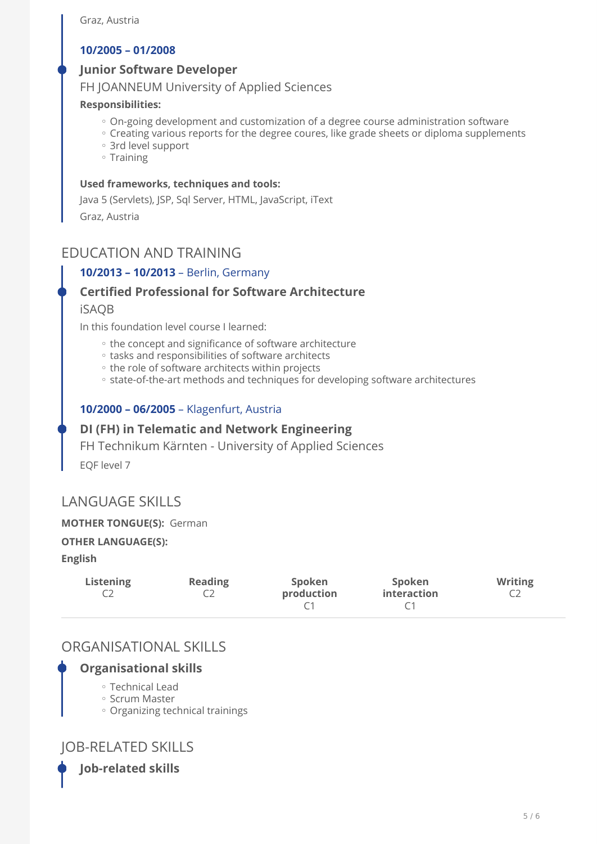# **10/2005 – 01/2008**

# **Junior Software Developer**

FH JOANNEUM University of Applied Sciences

## **Responsibilities:**

- On-going development and customization of a degree course administration software
- Creating various reports for the degree coures, like grade sheets or diploma supplements
- 3rd level support ◦
- Training

# **Used frameworks, techniques and tools:**

Java 5 (Servlets), JSP, Sql Server, HTML, JavaScript, iText Graz, Austria

# EDUCATION AND TRAINING

# **10/2013 – 10/2013** – Berlin, Germany

# **Certified Professional for Software Architecture**

# iSAQB

In this foundation level course I learned:

- the concept and significance of software architecture
- tasks and responsibilities of software architects ◦
- the role of software architects within projects
- state-of-the-art methods and techniques for developing software architectures

# **10/2000 – 06/2005** – Klagenfurt, Austria

# **DI (FH) in Telematic and Network Engineering**

FH Technikum Kärnten - University of Applied Sciences

EQF level 7

# LANGUAGE SKILLS

# **MOTHER TONGUE(S):** German

# **OTHER LANGUAGE(S):**

**English** 

| Listening | <b>Reading</b> | Spoken<br>production | Spoken<br><i>interaction</i> | <b>Writing</b> |
|-----------|----------------|----------------------|------------------------------|----------------|
|           |                |                      |                              |                |

# ORGANISATIONAL SKILLS

# **Organisational skills**

- Technical Lead ◦
- Scrum Master ◦
- Organizing technical trainings ◦

# JOB-RELATED SKILLS

**Job-related skills**